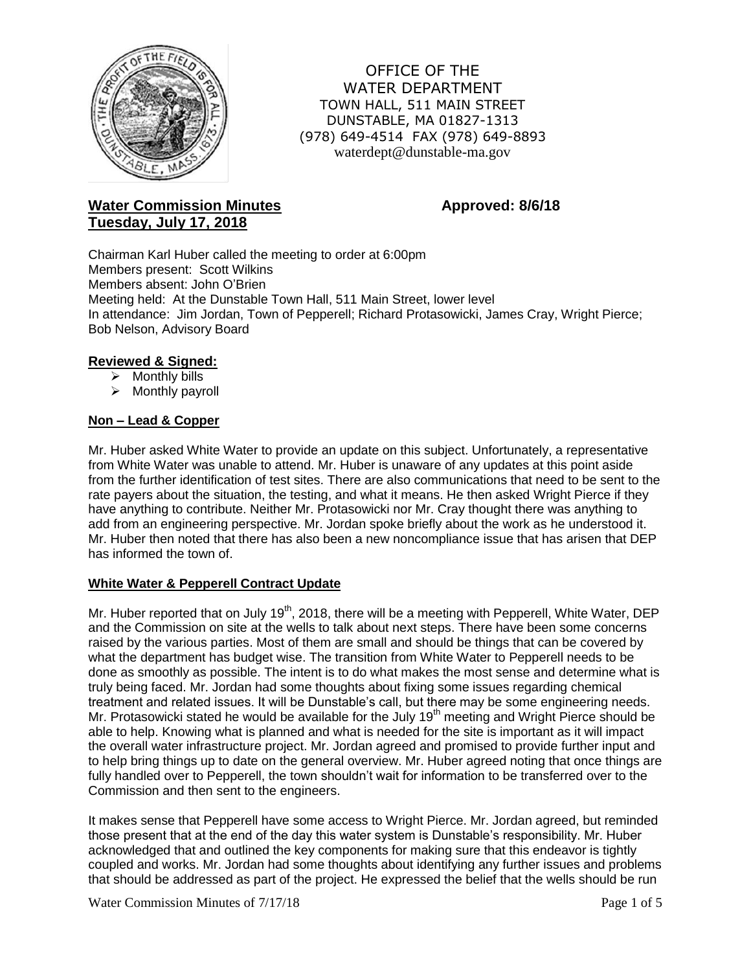

OFFICE OF THE WATER DEPARTMENT TOWN HALL, 511 MAIN STREET DUNSTABLE, MA 01827-1313 (978) 649-4514 FAX (978) 649-8893 waterdept@dunstable-ma.gov

# **Water Commission Minutes <b>Approved: 8/6/18 Tuesday, July 17, 2018**

Chairman Karl Huber called the meeting to order at 6:00pm Members present: Scott Wilkins Members absent: John O'Brien Meeting held: At the Dunstable Town Hall, 511 Main Street, lower level In attendance: Jim Jordan, Town of Pepperell; Richard Protasowicki, James Cray, Wright Pierce; Bob Nelson, Advisory Board

## **Reviewed & Signed:**

- $\triangleright$  Monthly bills
- $\triangleright$  Monthly payroll

## **Non – Lead & Copper**

Mr. Huber asked White Water to provide an update on this subject. Unfortunately, a representative from White Water was unable to attend. Mr. Huber is unaware of any updates at this point aside from the further identification of test sites. There are also communications that need to be sent to the rate payers about the situation, the testing, and what it means. He then asked Wright Pierce if they have anything to contribute. Neither Mr. Protasowicki nor Mr. Cray thought there was anything to add from an engineering perspective. Mr. Jordan spoke briefly about the work as he understood it. Mr. Huber then noted that there has also been a new noncompliance issue that has arisen that DEP has informed the town of.

## **White Water & Pepperell Contract Update**

Mr. Huber reported that on July 19<sup>th</sup>, 2018, there will be a meeting with Pepperell, White Water, DEP and the Commission on site at the wells to talk about next steps. There have been some concerns raised by the various parties. Most of them are small and should be things that can be covered by what the department has budget wise. The transition from White Water to Pepperell needs to be done as smoothly as possible. The intent is to do what makes the most sense and determine what is truly being faced. Mr. Jordan had some thoughts about fixing some issues regarding chemical treatment and related issues. It will be Dunstable's call, but there may be some engineering needs. Mr. Protasowicki stated he would be available for the July 19<sup>th</sup> meeting and Wright Pierce should be able to help. Knowing what is planned and what is needed for the site is important as it will impact the overall water infrastructure project. Mr. Jordan agreed and promised to provide further input and to help bring things up to date on the general overview. Mr. Huber agreed noting that once things are fully handled over to Pepperell, the town shouldn't wait for information to be transferred over to the Commission and then sent to the engineers.

It makes sense that Pepperell have some access to Wright Pierce. Mr. Jordan agreed, but reminded those present that at the end of the day this water system is Dunstable's responsibility. Mr. Huber acknowledged that and outlined the key components for making sure that this endeavor is tightly coupled and works. Mr. Jordan had some thoughts about identifying any further issues and problems that should be addressed as part of the project. He expressed the belief that the wells should be run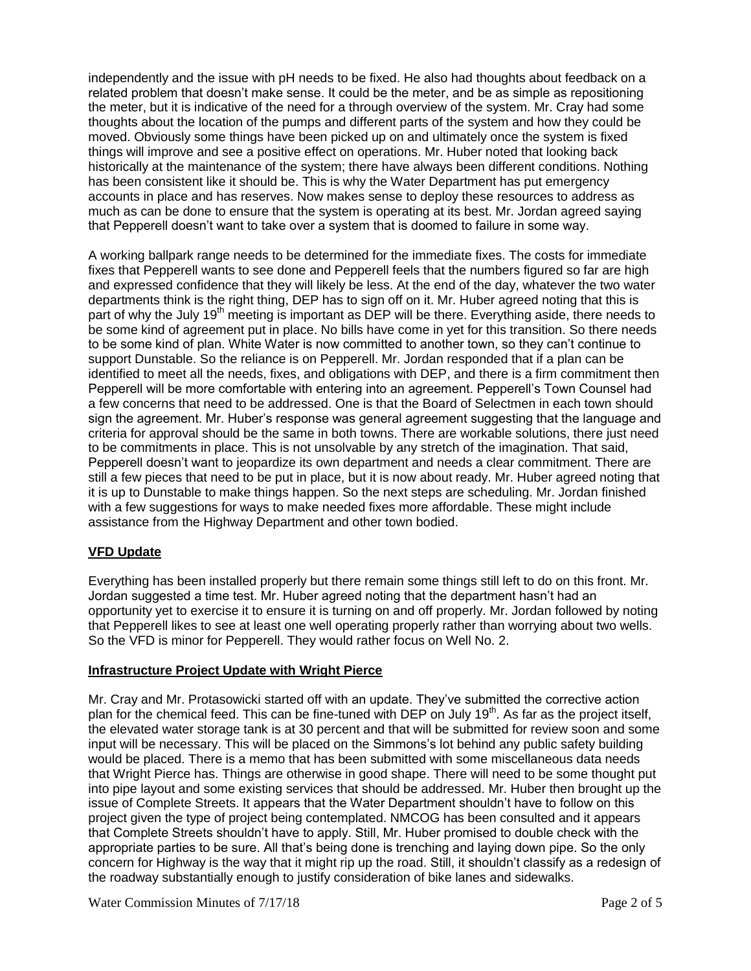independently and the issue with pH needs to be fixed. He also had thoughts about feedback on a related problem that doesn't make sense. It could be the meter, and be as simple as repositioning the meter, but it is indicative of the need for a through overview of the system. Mr. Cray had some thoughts about the location of the pumps and different parts of the system and how they could be moved. Obviously some things have been picked up on and ultimately once the system is fixed things will improve and see a positive effect on operations. Mr. Huber noted that looking back historically at the maintenance of the system; there have always been different conditions. Nothing has been consistent like it should be. This is why the Water Department has put emergency accounts in place and has reserves. Now makes sense to deploy these resources to address as much as can be done to ensure that the system is operating at its best. Mr. Jordan agreed saying that Pepperell doesn't want to take over a system that is doomed to failure in some way.

A working ballpark range needs to be determined for the immediate fixes. The costs for immediate fixes that Pepperell wants to see done and Pepperell feels that the numbers figured so far are high and expressed confidence that they will likely be less. At the end of the day, whatever the two water departments think is the right thing, DEP has to sign off on it. Mr. Huber agreed noting that this is part of why the July 19<sup>th</sup> meeting is important as DEP will be there. Everything aside, there needs to be some kind of agreement put in place. No bills have come in yet for this transition. So there needs to be some kind of plan. White Water is now committed to another town, so they can't continue to support Dunstable. So the reliance is on Pepperell. Mr. Jordan responded that if a plan can be identified to meet all the needs, fixes, and obligations with DEP, and there is a firm commitment then Pepperell will be more comfortable with entering into an agreement. Pepperell's Town Counsel had a few concerns that need to be addressed. One is that the Board of Selectmen in each town should sign the agreement. Mr. Huber's response was general agreement suggesting that the language and criteria for approval should be the same in both towns. There are workable solutions, there just need to be commitments in place. This is not unsolvable by any stretch of the imagination. That said, Pepperell doesn't want to jeopardize its own department and needs a clear commitment. There are still a few pieces that need to be put in place, but it is now about ready. Mr. Huber agreed noting that it is up to Dunstable to make things happen. So the next steps are scheduling. Mr. Jordan finished with a few suggestions for ways to make needed fixes more affordable. These might include assistance from the Highway Department and other town bodied.

## **VFD Update**

Everything has been installed properly but there remain some things still left to do on this front. Mr. Jordan suggested a time test. Mr. Huber agreed noting that the department hasn't had an opportunity yet to exercise it to ensure it is turning on and off properly. Mr. Jordan followed by noting that Pepperell likes to see at least one well operating properly rather than worrying about two wells. So the VFD is minor for Pepperell. They would rather focus on Well No. 2.

## **Infrastructure Project Update with Wright Pierce**

Mr. Cray and Mr. Protasowicki started off with an update. They've submitted the corrective action plan for the chemical feed. This can be fine-tuned with DEP on July  $19<sup>th</sup>$ . As far as the project itself, the elevated water storage tank is at 30 percent and that will be submitted for review soon and some input will be necessary. This will be placed on the Simmons's lot behind any public safety building would be placed. There is a memo that has been submitted with some miscellaneous data needs that Wright Pierce has. Things are otherwise in good shape. There will need to be some thought put into pipe layout and some existing services that should be addressed. Mr. Huber then brought up the issue of Complete Streets. It appears that the Water Department shouldn't have to follow on this project given the type of project being contemplated. NMCOG has been consulted and it appears that Complete Streets shouldn't have to apply. Still, Mr. Huber promised to double check with the appropriate parties to be sure. All that's being done is trenching and laying down pipe. So the only concern for Highway is the way that it might rip up the road. Still, it shouldn't classify as a redesign of the roadway substantially enough to justify consideration of bike lanes and sidewalks.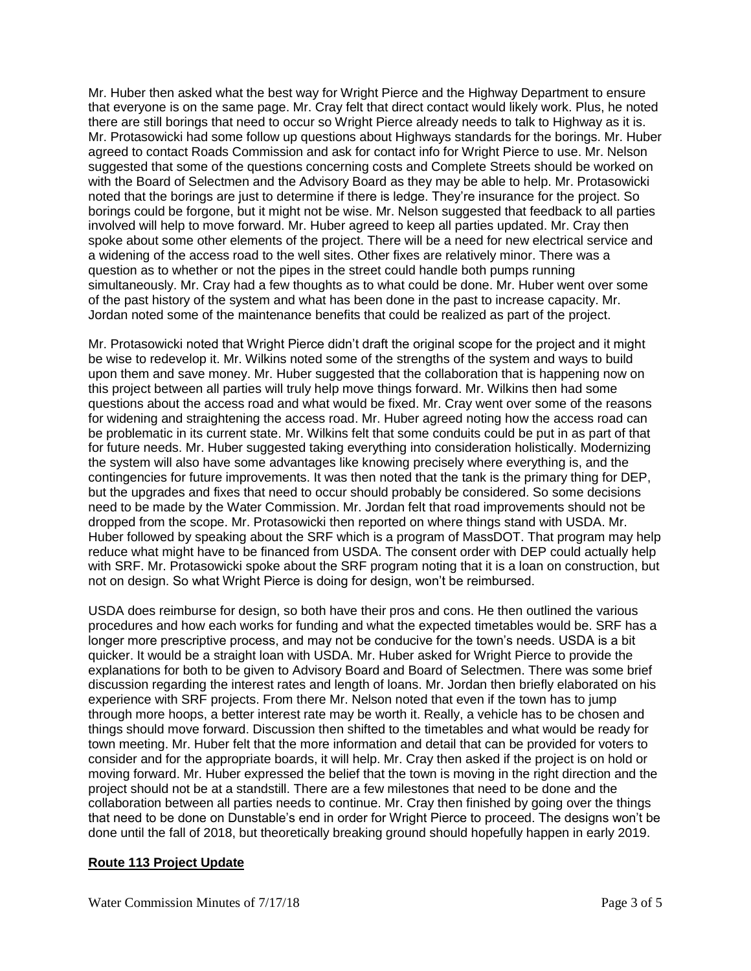Mr. Huber then asked what the best way for Wright Pierce and the Highway Department to ensure that everyone is on the same page. Mr. Cray felt that direct contact would likely work. Plus, he noted there are still borings that need to occur so Wright Pierce already needs to talk to Highway as it is. Mr. Protasowicki had some follow up questions about Highways standards for the borings. Mr. Huber agreed to contact Roads Commission and ask for contact info for Wright Pierce to use. Mr. Nelson suggested that some of the questions concerning costs and Complete Streets should be worked on with the Board of Selectmen and the Advisory Board as they may be able to help. Mr. Protasowicki noted that the borings are just to determine if there is ledge. They're insurance for the project. So borings could be forgone, but it might not be wise. Mr. Nelson suggested that feedback to all parties involved will help to move forward. Mr. Huber agreed to keep all parties updated. Mr. Cray then spoke about some other elements of the project. There will be a need for new electrical service and a widening of the access road to the well sites. Other fixes are relatively minor. There was a question as to whether or not the pipes in the street could handle both pumps running simultaneously. Mr. Cray had a few thoughts as to what could be done. Mr. Huber went over some of the past history of the system and what has been done in the past to increase capacity. Mr. Jordan noted some of the maintenance benefits that could be realized as part of the project.

Mr. Protasowicki noted that Wright Pierce didn't draft the original scope for the project and it might be wise to redevelop it. Mr. Wilkins noted some of the strengths of the system and ways to build upon them and save money. Mr. Huber suggested that the collaboration that is happening now on this project between all parties will truly help move things forward. Mr. Wilkins then had some questions about the access road and what would be fixed. Mr. Cray went over some of the reasons for widening and straightening the access road. Mr. Huber agreed noting how the access road can be problematic in its current state. Mr. Wilkins felt that some conduits could be put in as part of that for future needs. Mr. Huber suggested taking everything into consideration holistically. Modernizing the system will also have some advantages like knowing precisely where everything is, and the contingencies for future improvements. It was then noted that the tank is the primary thing for DEP, but the upgrades and fixes that need to occur should probably be considered. So some decisions need to be made by the Water Commission. Mr. Jordan felt that road improvements should not be dropped from the scope. Mr. Protasowicki then reported on where things stand with USDA. Mr. Huber followed by speaking about the SRF which is a program of MassDOT. That program may help reduce what might have to be financed from USDA. The consent order with DEP could actually help with SRF. Mr. Protasowicki spoke about the SRF program noting that it is a loan on construction, but not on design. So what Wright Pierce is doing for design, won't be reimbursed.

USDA does reimburse for design, so both have their pros and cons. He then outlined the various procedures and how each works for funding and what the expected timetables would be. SRF has a longer more prescriptive process, and may not be conducive for the town's needs. USDA is a bit quicker. It would be a straight loan with USDA. Mr. Huber asked for Wright Pierce to provide the explanations for both to be given to Advisory Board and Board of Selectmen. There was some brief discussion regarding the interest rates and length of loans. Mr. Jordan then briefly elaborated on his experience with SRF projects. From there Mr. Nelson noted that even if the town has to jump through more hoops, a better interest rate may be worth it. Really, a vehicle has to be chosen and things should move forward. Discussion then shifted to the timetables and what would be ready for town meeting. Mr. Huber felt that the more information and detail that can be provided for voters to consider and for the appropriate boards, it will help. Mr. Cray then asked if the project is on hold or moving forward. Mr. Huber expressed the belief that the town is moving in the right direction and the project should not be at a standstill. There are a few milestones that need to be done and the collaboration between all parties needs to continue. Mr. Cray then finished by going over the things that need to be done on Dunstable's end in order for Wright Pierce to proceed. The designs won't be done until the fall of 2018, but theoretically breaking ground should hopefully happen in early 2019.

## **Route 113 Project Update**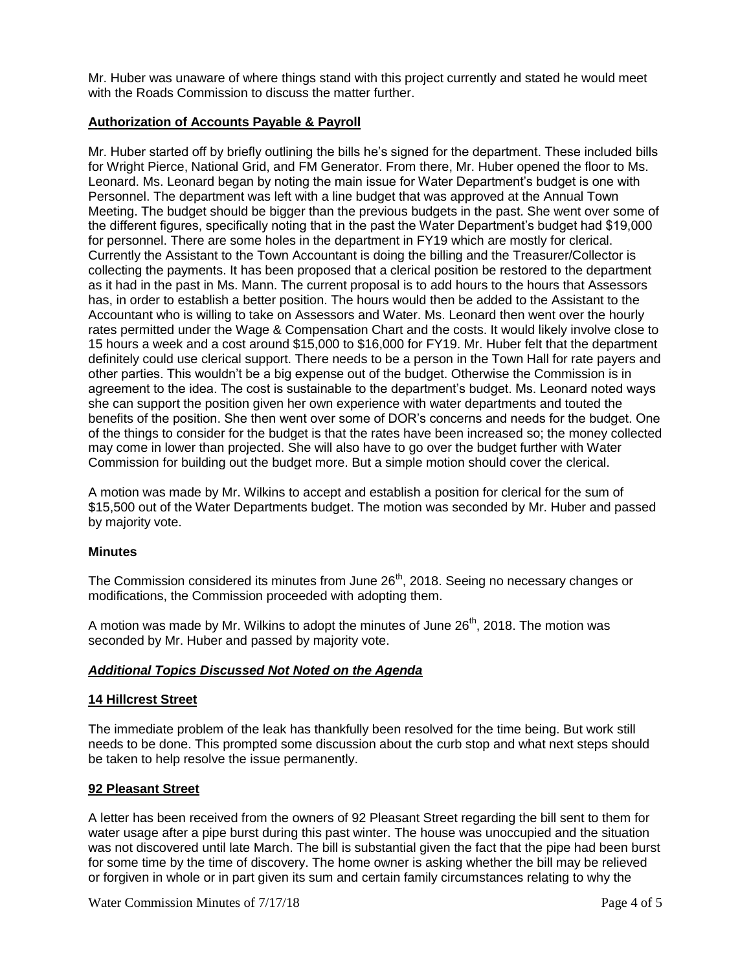Mr. Huber was unaware of where things stand with this project currently and stated he would meet with the Roads Commission to discuss the matter further.

## **Authorization of Accounts Payable & Payroll**

Mr. Huber started off by briefly outlining the bills he's signed for the department. These included bills for Wright Pierce, National Grid, and FM Generator. From there, Mr. Huber opened the floor to Ms. Leonard. Ms. Leonard began by noting the main issue for Water Department's budget is one with Personnel. The department was left with a line budget that was approved at the Annual Town Meeting. The budget should be bigger than the previous budgets in the past. She went over some of the different figures, specifically noting that in the past the Water Department's budget had \$19,000 for personnel. There are some holes in the department in FY19 which are mostly for clerical. Currently the Assistant to the Town Accountant is doing the billing and the Treasurer/Collector is collecting the payments. It has been proposed that a clerical position be restored to the department as it had in the past in Ms. Mann. The current proposal is to add hours to the hours that Assessors has, in order to establish a better position. The hours would then be added to the Assistant to the Accountant who is willing to take on Assessors and Water. Ms. Leonard then went over the hourly rates permitted under the Wage & Compensation Chart and the costs. It would likely involve close to 15 hours a week and a cost around \$15,000 to \$16,000 for FY19. Mr. Huber felt that the department definitely could use clerical support. There needs to be a person in the Town Hall for rate payers and other parties. This wouldn't be a big expense out of the budget. Otherwise the Commission is in agreement to the idea. The cost is sustainable to the department's budget. Ms. Leonard noted ways she can support the position given her own experience with water departments and touted the benefits of the position. She then went over some of DOR's concerns and needs for the budget. One of the things to consider for the budget is that the rates have been increased so; the money collected may come in lower than projected. She will also have to go over the budget further with Water Commission for building out the budget more. But a simple motion should cover the clerical.

A motion was made by Mr. Wilkins to accept and establish a position for clerical for the sum of \$15,500 out of the Water Departments budget. The motion was seconded by Mr. Huber and passed by majority vote.

#### **Minutes**

The Commission considered its minutes from June 26<sup>th</sup>, 2018. Seeing no necessary changes or modifications, the Commission proceeded with adopting them.

A motion was made by Mr. Wilkins to adopt the minutes of June  $26<sup>th</sup>$ , 2018. The motion was seconded by Mr. Huber and passed by majority vote.

## *Additional Topics Discussed Not Noted on the Agenda*

#### **14 Hillcrest Street**

The immediate problem of the leak has thankfully been resolved for the time being. But work still needs to be done. This prompted some discussion about the curb stop and what next steps should be taken to help resolve the issue permanently.

## **92 Pleasant Street**

A letter has been received from the owners of 92 Pleasant Street regarding the bill sent to them for water usage after a pipe burst during this past winter. The house was unoccupied and the situation was not discovered until late March. The bill is substantial given the fact that the pipe had been burst for some time by the time of discovery. The home owner is asking whether the bill may be relieved or forgiven in whole or in part given its sum and certain family circumstances relating to why the